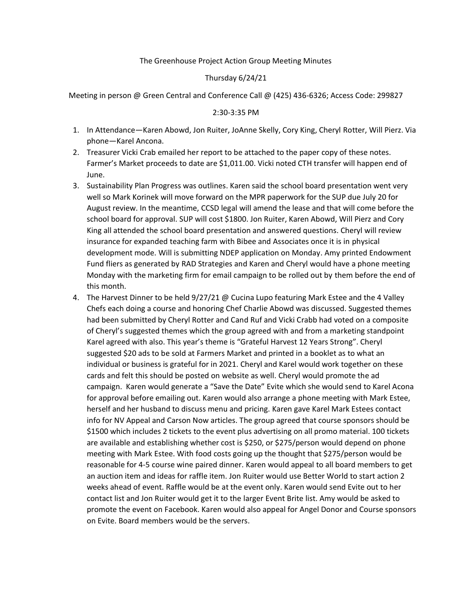## The Greenhouse Project Action Group Meeting Minutes

## Thursday 6/24/21

Meeting in person @ Green Central and Conference Call @ (425) 436-6326; Access Code: 299827

#### 2:30-3:35 PM

- 1. In Attendance—Karen Abowd, Jon Ruiter, JoAnne Skelly, Cory King, Cheryl Rotter, Will Pierz. Via phone—Karel Ancona.
- 2. Treasurer Vicki Crab emailed her report to be attached to the paper copy of these notes. Farmer's Market proceeds to date are \$1,011.00. Vicki noted CTH transfer will happen end of June.
- 3. Sustainability Plan Progress was outlines. Karen said the school board presentation went very well so Mark Korinek will move forward on the MPR paperwork for the SUP due July 20 for August review. In the meantime, CCSD legal will amend the lease and that will come before the school board for approval. SUP will cost \$1800. Jon Ruiter, Karen Abowd, Will Pierz and Cory King all attended the school board presentation and answered questions. Cheryl will review insurance for expanded teaching farm with Bibee and Associates once it is in physical development mode. Will is submitting NDEP application on Monday. Amy printed Endowment Fund fliers as generated by RAD Strategies and Karen and Cheryl would have a phone meeting Monday with the marketing firm for email campaign to be rolled out by them before the end of this month.
- 4. The Harvest Dinner to be held 9/27/21 @ Cucina Lupo featuring Mark Estee and the 4 Valley Chefs each doing a course and honoring Chef Charlie Abowd was discussed. Suggested themes had been submitted by Cheryl Rotter and Cand Ruf and Vicki Crabb had voted on a composite of Cheryl's suggested themes which the group agreed with and from a marketing standpoint Karel agreed with also. This year's theme is "Grateful Harvest 12 Years Strong". Cheryl suggested \$20 ads to be sold at Farmers Market and printed in a booklet as to what an individual or business is grateful for in 2021. Cheryl and Karel would work together on these cards and felt this should be posted on website as well. Cheryl would promote the ad campaign. Karen would generate a "Save the Date" Evite which she would send to Karel Acona for approval before emailing out. Karen would also arrange a phone meeting with Mark Estee, herself and her husband to discuss menu and pricing. Karen gave Karel Mark Estees contact info for NV Appeal and Carson Now articles. The group agreed that course sponsors should be \$1500 which includes 2 tickets to the event plus advertising on all promo material. 100 tickets are available and establishing whether cost is \$250, or \$275/person would depend on phone meeting with Mark Estee. With food costs going up the thought that \$275/person would be reasonable for 4-5 course wine paired dinner. Karen would appeal to all board members to get an auction item and ideas for raffle item. Jon Ruiter would use Better World to start action 2 weeks ahead of event. Raffle would be at the event only. Karen would send Evite out to her contact list and Jon Ruiter would get it to the larger Event Brite list. Amy would be asked to promote the event on Facebook. Karen would also appeal for Angel Donor and Course sponsors on Evite. Board members would be the servers.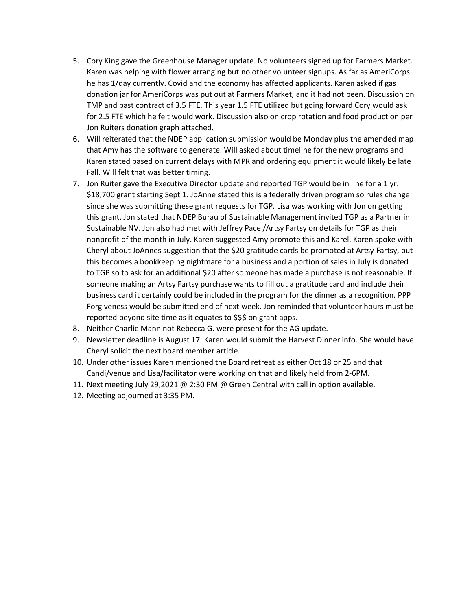- 5. Cory King gave the Greenhouse Manager update. No volunteers signed up for Farmers Market. Karen was helping with flower arranging but no other volunteer signups. As far as AmeriCorps he has 1/day currently. Covid and the economy has affected applicants. Karen asked if gas donation jar for AmeriCorps was put out at Farmers Market, and it had not been. Discussion on TMP and past contract of 3.5 FTE. This year 1.5 FTE utilized but going forward Cory would ask for 2.5 FTE which he felt would work. Discussion also on crop rotation and food production per Jon Ruiters donation graph attached.
- 6. Will reiterated that the NDEP application submission would be Monday plus the amended map that Amy has the software to generate. Will asked about timeline for the new programs and Karen stated based on current delays with MPR and ordering equipment it would likely be late Fall. Will felt that was better timing.
- 7. Jon Ruiter gave the Executive Director update and reported TGP would be in line for a 1 yr. \$18,700 grant starting Sept 1. JoAnne stated this is a federally driven program so rules change since she was submitting these grant requests for TGP. Lisa was working with Jon on getting this grant. Jon stated that NDEP Burau of Sustainable Management invited TGP as a Partner in Sustainable NV. Jon also had met with Jeffrey Pace /Artsy Fartsy on details for TGP as their nonprofit of the month in July. Karen suggested Amy promote this and Karel. Karen spoke with Cheryl about JoAnnes suggestion that the \$20 gratitude cards be promoted at Artsy Fartsy, but this becomes a bookkeeping nightmare for a business and a portion of sales in July is donated to TGP so to ask for an additional \$20 after someone has made a purchase is not reasonable. If someone making an Artsy Fartsy purchase wants to fill out a gratitude card and include their business card it certainly could be included in the program for the dinner as a recognition. PPP Forgiveness would be submitted end of next week. Jon reminded that volunteer hours must be reported beyond site time as it equates to \$\$\$ on grant apps.
- 8. Neither Charlie Mann not Rebecca G. were present for the AG update.
- 9. Newsletter deadline is August 17. Karen would submit the Harvest Dinner info. She would have Cheryl solicit the next board member article.
- 10. Under other issues Karen mentioned the Board retreat as either Oct 18 or 25 and that Candi/venue and Lisa/facilitator were working on that and likely held from 2-6PM.
- 11. Next meeting July 29,2021 @ 2:30 PM @ Green Central with call in option available.
- 12. Meeting adjourned at 3:35 PM.